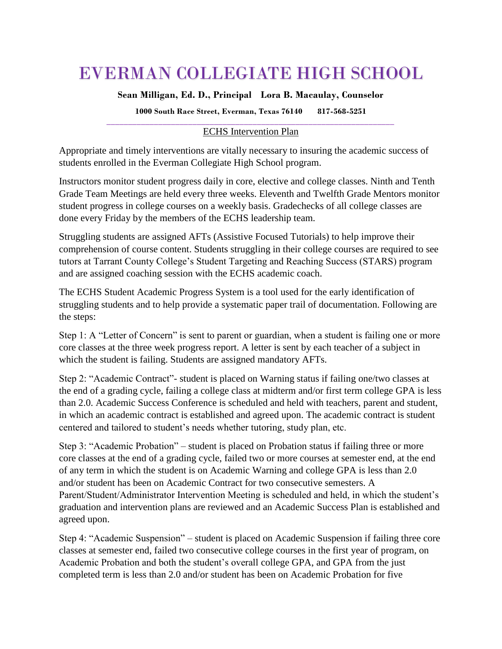# EVERMAN COLLEGIATE HIGH SCHOOL

**Sean Milligan, Ed. D., Principal Lora B. Macaulay, Counselor**

**1000 South Race Street, Everman, Texas 76140 817-568-5251**

## **\_\_\_\_\_\_\_\_\_\_\_\_\_\_\_\_\_\_\_\_\_\_\_\_\_\_\_\_\_\_\_\_\_\_\_\_\_\_\_\_\_\_\_\_\_\_\_\_\_\_\_\_\_\_\_\_\_\_\_\_\_\_\_\_\_\_\_** ECHS Intervention Plan

Appropriate and timely interventions are vitally necessary to insuring the academic success of students enrolled in the Everman Collegiate High School program.

Instructors monitor student progress daily in core, elective and college classes. Ninth and Tenth Grade Team Meetings are held every three weeks. Eleventh and Twelfth Grade Mentors monitor student progress in college courses on a weekly basis. Gradechecks of all college classes are done every Friday by the members of the ECHS leadership team.

Struggling students are assigned AFTs (Assistive Focused Tutorials) to help improve their comprehension of course content. Students struggling in their college courses are required to see tutors at Tarrant County College's Student Targeting and Reaching Success (STARS) program and are assigned coaching session with the ECHS academic coach.

The ECHS Student Academic Progress System is a tool used for the early identification of struggling students and to help provide a systematic paper trail of documentation. Following are the steps:

Step 1: A "Letter of Concern" is sent to parent or guardian, when a student is failing one or more core classes at the three week progress report. A letter is sent by each teacher of a subject in which the student is failing. Students are assigned mandatory AFTs.

Step 2: "Academic Contract"- student is placed on Warning status if failing one/two classes at the end of a grading cycle, failing a college class at midterm and/or first term college GPA is less than 2.0. Academic Success Conference is scheduled and held with teachers, parent and student, in which an academic contract is established and agreed upon. The academic contract is student centered and tailored to student's needs whether tutoring, study plan, etc.

Step 3: "Academic Probation" – student is placed on Probation status if failing three or more core classes at the end of a grading cycle, failed two or more courses at semester end, at the end of any term in which the student is on Academic Warning and college GPA is less than 2.0 and/or student has been on Academic Contract for two consecutive semesters. A Parent/Student/Administrator Intervention Meeting is scheduled and held, in which the student's graduation and intervention plans are reviewed and an Academic Success Plan is established and agreed upon.

Step 4: "Academic Suspension" – student is placed on Academic Suspension if failing three core classes at semester end, failed two consecutive college courses in the first year of program, on Academic Probation and both the student's overall college GPA, and GPA from the just completed term is less than 2.0 and/or student has been on Academic Probation for five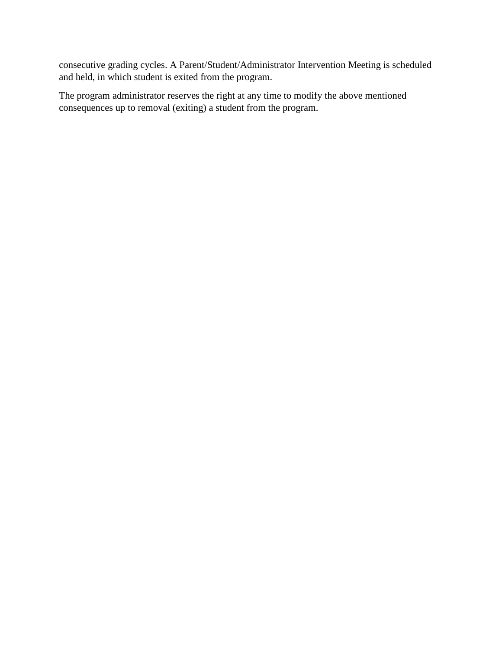consecutive grading cycles. A Parent/Student/Administrator Intervention Meeting is scheduled and held, in which student is exited from the program.

The program administrator reserves the right at any time to modify the above mentioned consequences up to removal (exiting) a student from the program.